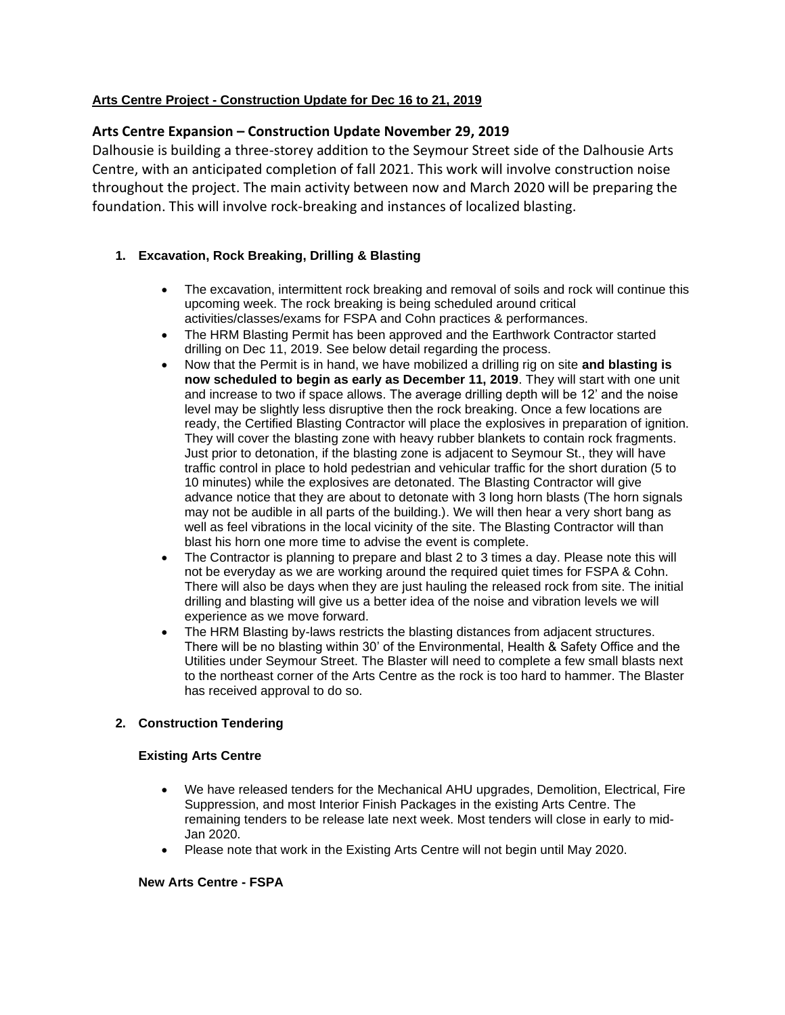## **Arts Centre Project - Construction Update for Dec 16 to 21, 2019**

# **Arts Centre Expansion – Construction Update November 29, 2019**

Dalhousie is building a three-storey addition to the Seymour Street side of the Dalhousie Arts Centre, with an anticipated completion of fall 2021. This work will involve construction noise throughout the project. The main activity between now and March 2020 will be preparing the foundation. This will involve rock-breaking and instances of localized blasting.

## **1. Excavation, Rock Breaking, Drilling & Blasting**

- The excavation, intermittent rock breaking and removal of soils and rock will continue this upcoming week. The rock breaking is being scheduled around critical activities/classes/exams for FSPA and Cohn practices & performances.
- The HRM Blasting Permit has been approved and the Earthwork Contractor started drilling on Dec 11, 2019. See below detail regarding the process.
- Now that the Permit is in hand, we have mobilized a drilling rig on site **and blasting is now scheduled to begin as early as December 11, 2019**. They will start with one unit and increase to two if space allows. The average drilling depth will be 12' and the noise level may be slightly less disruptive then the rock breaking. Once a few locations are ready, the Certified Blasting Contractor will place the explosives in preparation of ignition. They will cover the blasting zone with heavy rubber blankets to contain rock fragments. Just prior to detonation, if the blasting zone is adjacent to Seymour St., they will have traffic control in place to hold pedestrian and vehicular traffic for the short duration (5 to 10 minutes) while the explosives are detonated. The Blasting Contractor will give advance notice that they are about to detonate with 3 long horn blasts (The horn signals may not be audible in all parts of the building.). We will then hear a very short bang as well as feel vibrations in the local vicinity of the site. The Blasting Contractor will than blast his horn one more time to advise the event is complete.
- The Contractor is planning to prepare and blast 2 to 3 times a day. Please note this will not be everyday as we are working around the required quiet times for FSPA & Cohn. There will also be days when they are just hauling the released rock from site. The initial drilling and blasting will give us a better idea of the noise and vibration levels we will experience as we move forward.
- The HRM Blasting by-laws restricts the blasting distances from adjacent structures. There will be no blasting within 30' of the Environmental, Health & Safety Office and the Utilities under Seymour Street. The Blaster will need to complete a few small blasts next to the northeast corner of the Arts Centre as the rock is too hard to hammer. The Blaster has received approval to do so.

# **2. Construction Tendering**

## **Existing Arts Centre**

- We have released tenders for the Mechanical AHU upgrades, Demolition, Electrical, Fire Suppression, and most Interior Finish Packages in the existing Arts Centre. The remaining tenders to be release late next week. Most tenders will close in early to mid-Jan 2020.
- Please note that work in the Existing Arts Centre will not begin until May 2020.

## **New Arts Centre - FSPA**